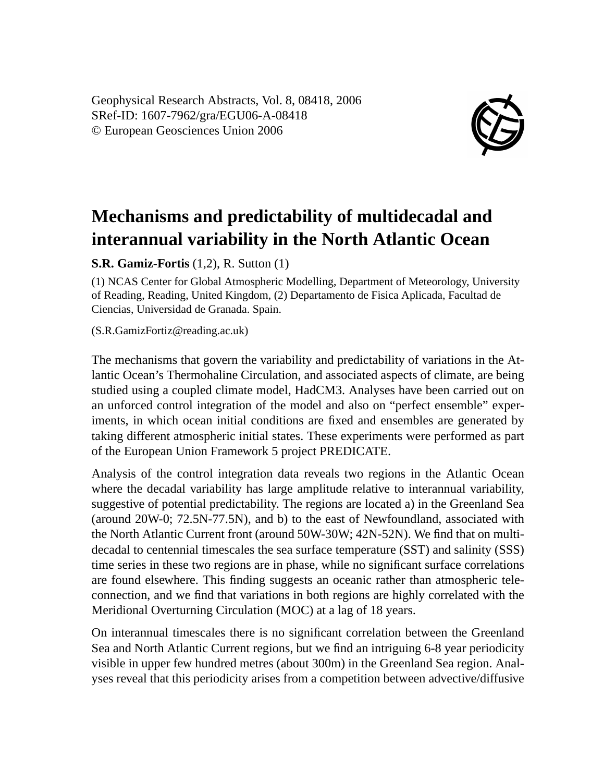Geophysical Research Abstracts, Vol. 8, 08418, 2006 SRef-ID: 1607-7962/gra/EGU06-A-08418 © European Geosciences Union 2006



## **Mechanisms and predictability of multidecadal and interannual variability in the North Atlantic Ocean**

**S.R. Gamiz-Fortis** (1,2), R. Sutton (1)

(1) NCAS Center for Global Atmospheric Modelling, Department of Meteorology, University of Reading, Reading, United Kingdom, (2) Departamento de Fisica Aplicada, Facultad de Ciencias, Universidad de Granada. Spain.

(S.R.GamizFortiz@reading.ac.uk)

The mechanisms that govern the variability and predictability of variations in the Atlantic Ocean's Thermohaline Circulation, and associated aspects of climate, are being studied using a coupled climate model, HadCM3. Analyses have been carried out on an unforced control integration of the model and also on "perfect ensemble" experiments, in which ocean initial conditions are fixed and ensembles are generated by taking different atmospheric initial states. These experiments were performed as part of the European Union Framework 5 project PREDICATE.

Analysis of the control integration data reveals two regions in the Atlantic Ocean where the decadal variability has large amplitude relative to interannual variability, suggestive of potential predictability. The regions are located a) in the Greenland Sea (around 20W-0; 72.5N-77.5N), and b) to the east of Newfoundland, associated with the North Atlantic Current front (around 50W-30W; 42N-52N). We find that on multidecadal to centennial timescales the sea surface temperature (SST) and salinity (SSS) time series in these two regions are in phase, while no significant surface correlations are found elsewhere. This finding suggests an oceanic rather than atmospheric teleconnection, and we find that variations in both regions are highly correlated with the Meridional Overturning Circulation (MOC) at a lag of 18 years.

On interannual timescales there is no significant correlation between the Greenland Sea and North Atlantic Current regions, but we find an intriguing 6-8 year periodicity visible in upper few hundred metres (about 300m) in the Greenland Sea region. Analyses reveal that this periodicity arises from a competition between advective/diffusive